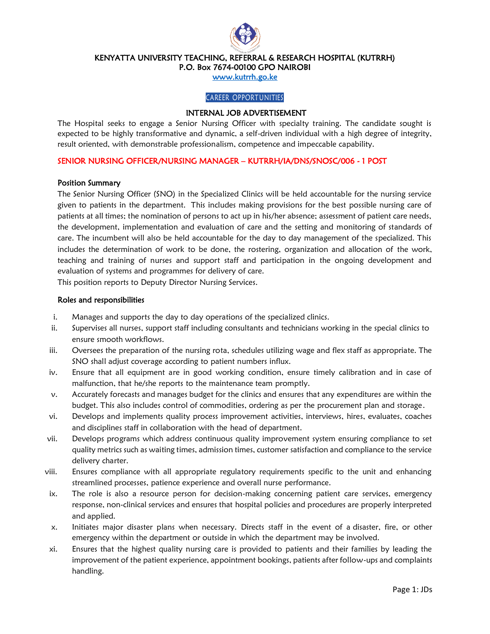

KENYATTA UNIVERSITY TEACHING, REFERRAL & RESEARCH HOSPITAL (KUTRRH)

P.O. Box 7674-00100 GPO NAIROBI

[www.kutrrh.go.ke](http://www.kutrrh.go.ke/) 

### CAREER OPPORTUNITIES

## INTERNAL JOB ADVERTISEMENT

The Hospital seeks to engage a Senior Nursing Officer with specialty training. The candidate sought is expected to be highly transformative and dynamic, a self-driven individual with a high degree of integrity, result oriented, with demonstrable professionalism, competence and impeccable capability.

### SENIOR NURSING OFFICER/NURSING MANAGER – KUTRRH/IA/DNS/SNOSC/006 - 1 POST

#### Position Summary

The Senior Nursing Officer (SNO) in the Specialized Clinics will be held accountable for the nursing service given to patients in the department. This includes making provisions for the best possible nursing care of patients at all times; the nomination of persons to act up in his/her absence; assessment of patient care needs, the development, implementation and evaluation of care and the setting and monitoring of standards of care. The incumbent will also be held accountable for the day to day management of the specialized. This includes the determination of work to be done, the rostering, organization and allocation of the work, teaching and training of nurses and support staff and participation in the ongoing development and evaluation of systems and programmes for delivery of care.

This position reports to Deputy Director Nursing Services.

#### Roles and responsibilities

- i. Manages and supports the day to day operations of the specialized clinics.
- ii. Supervises all nurses, support staff including consultants and technicians working in the special clinics to ensure smooth workflows.
- iii. Oversees the preparation of the nursing rota, schedules utilizing wage and flex staff as appropriate. The SNO shall adjust coverage according to patient numbers influx.
- iv. Ensure that all equipment are in good working condition, ensure timely calibration and in case of malfunction, that he/she reports to the maintenance team promptly.
- v. Accurately forecasts and manages budget for the clinics and ensures that any expenditures are within the budget. This also includes control of commodities, ordering as per the procurement plan and storage.
- vi. Develops and implements quality process improvement activities, interviews, hires, evaluates, coaches and disciplines staff in collaboration with the head of department.
- vii. Develops programs which address continuous quality improvement system ensuring compliance to set quality metrics such as waiting times, admission times, customer satisfaction and compliance to the service delivery charter.
- viii. Ensures compliance with all appropriate regulatory requirements specific to the unit and enhancing streamlined processes, patience experience and overall nurse performance.
- ix. The role is also a resource person for decision-making concerning patient care services, emergency response, non-clinical services and ensures that hospital policies and procedures are properly interpreted and applied.
- x. Initiates major disaster plans when necessary. Directs staff in the event of a disaster, fire, or other emergency within the department or outside in which the department may be involved.
- xi. Ensures that the highest quality nursing care is provided to patients and their families by leading the improvement of the patient experience, appointment bookings, patients after follow-ups and complaints handling.